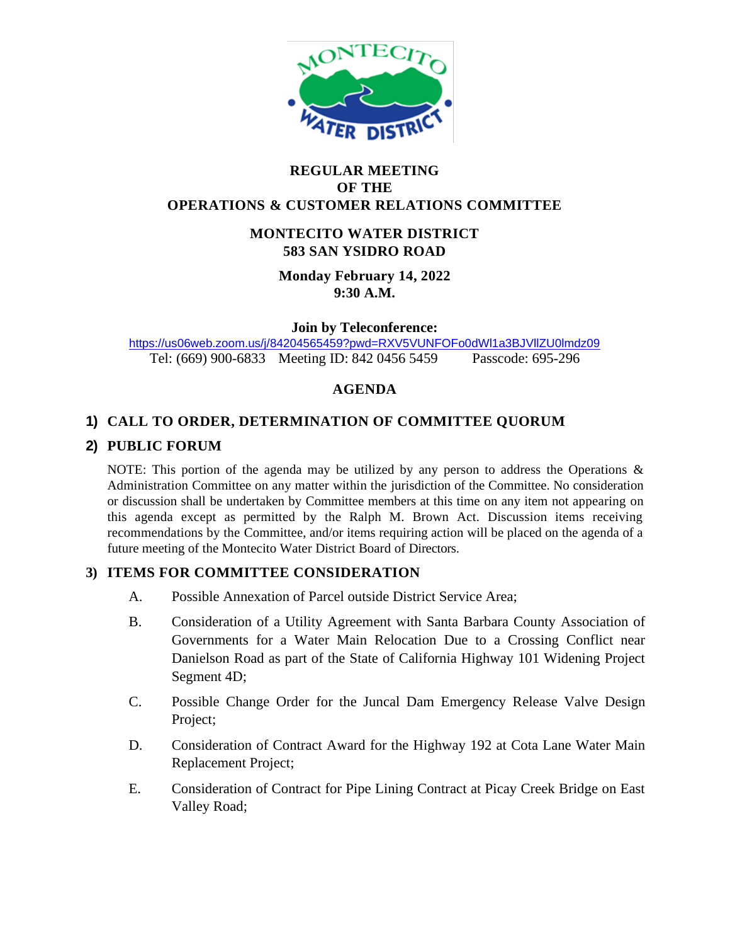

#### **REGULAR MEETING OF THE OPERATIONS & CUSTOMER RELATIONS COMMITTEE**

### **MONTECITO WATER DISTRICT 583 SAN YSIDRO ROAD**

**Monday February 14, 2022 9:30 A.M.**

**Join by Teleconference:** 

<https://us06web.zoom.us/j/84204565459?pwd=RXV5VUNFOFo0dWl1a3BJVllZU0lmdz09> Tel: (669) 900-6833 Meeting ID: 842 0456 5459 Passcode: 695-296

# **AGENDA**

# **1) CALL TO ORDER, DETERMINATION OF COMMITTEE QUORUM**

### **2) PUBLIC FORUM**

NOTE: This portion of the agenda may be utilized by any person to address the Operations  $\&$ Administration Committee on any matter within the jurisdiction of the Committee. No consideration or discussion shall be undertaken by Committee members at this time on any item not appearing on this agenda except as permitted by the Ralph M. Brown Act. Discussion items receiving recommendations by the Committee, and/or items requiring action will be placed on the agenda of a future meeting of the Montecito Water District Board of Directors.

### **3) ITEMS FOR COMMITTEE CONSIDERATION**

- A. Possible Annexation of Parcel outside District Service Area;
- B. Consideration of a Utility Agreement with Santa Barbara County Association of Governments for a Water Main Relocation Due to a Crossing Conflict near Danielson Road as part of the State of California Highway 101 Widening Project Segment 4D;
- C. Possible Change Order for the Juncal Dam Emergency Release Valve Design Project;
- D. Consideration of Contract Award for the Highway 192 at Cota Lane Water Main Replacement Project;
- E. Consideration of Contract for Pipe Lining Contract at Picay Creek Bridge on East Valley Road;